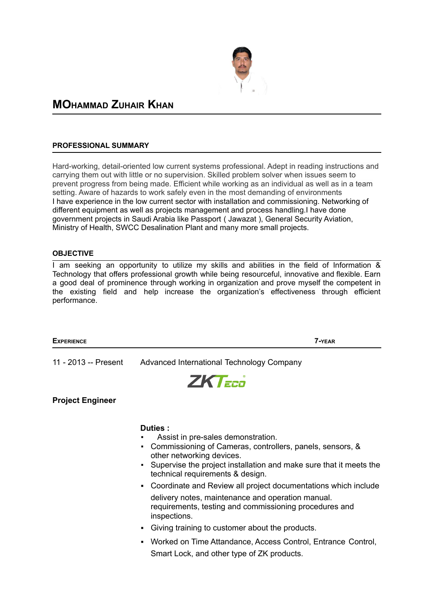

# **MOHAMMAD ZUHAIR KHAN**

### **PROFESSIONAL SUMMARY**

Hard-working, detail-oriented low current systems professional. Adept in reading instructions and carrying them out with little or no supervision. Skilled problem solver when issues seem to prevent progress from being made. Efficient while working as an individual as well as in a team setting. Aware of hazards to work safely even in the most demanding of environments I have experience in the low current sector with installation and commissioning. Networking of different equipment as well as projects management and process handling.I have done government projects in Saudi Arabia like Passport ( Jawazat ), General Security Aviation, Ministry of Health, SWCC Desalination Plant and many more small projects.

#### **OBJECTIVE**

I am seeking an opportunity to utilize my skills and abilities in the field of Information  $\&$ Technology that offers professional growth while being resourceful, innovative and flexible. Earn a good deal of prominence through working in organization and prove myself the competent in the existing field and help increase the organization's effectiveness through efficient performance.



# **ZKTEE**

**Project Engineer**

### **Duties :**

- Assist in pre-sales demonstration.
- Commissioning of Cameras, controllers, panels, sensors, & other networking devices.
- Supervise the project installation and make sure that it meets the technical requirements & design.
- Coordinate and Review all project documentations which include delivery notes, maintenance and operation manual. requirements, testing and commissioning procedures and inspections.
- Giving training to customer about the products.
- Worked on Time Attandance, Access Control, Entrance Control, Smart Lock, and other type of ZK products.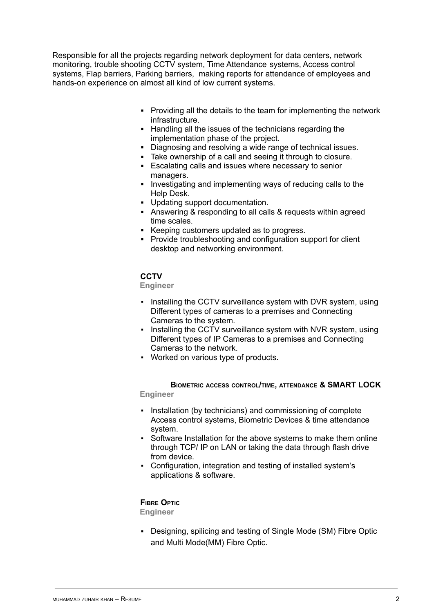Responsible for all the projects regarding network deployment for data centers, network monitoring, trouble shooting CCTV system, Time Attendance systems, Access control systems, Flap barriers, Parking barriers, making reports for attendance of employees and hands-on experience on almost all kind of low current systems.

- **▪** Providing all the details to the team for implementing the network infrastructure.
- **▪** Handling all the issues of the technicians regarding the implementation phase of the project.
- **▪** Diagnosing and resolving a wide range of technical issues.
- **▪** Take ownership of a call and seeing it through to closure.
- **▪** Escalating calls and issues where necessary to senior managers.
- **▪** Investigating and implementing ways of reducing calls to the Help Desk.
- **▪** Updating support documentation.
- **▪** Answering & responding to all calls & requests within agreed time scales.
- **▪** Keeping customers updated as to progress.
- **▪** Provide troubleshooting and configuration support for client desktop and networking environment.

# **CCTV**

**Engineer**

- **Installing the CCTV surveillance system with DVR system, using** Different types of cameras to a premises and Connecting Cameras to the system.
- **Installing the CCTV surveillance system with NVR system, using** Different types of IP Cameras to a premises and Connecting Cameras to the network.
- Worked on various type of products.

**BIOMETRIC ACCESS CONTROL/TIME, ATTENDANCE & SMART LOCK Engineer**

- **EXECT** Installation (by technicians) and commissioning of complete Access control systems, Biometric Devices & time attendance system.
- Software Installation for the above systems to make them online through TCP/ IP on LAN or taking the data through flash drive from device.
- Configuration, integration and testing of installed system's applications & software.

# **FIBRE OPTIC**

**Engineer**

▪ Designing, spilicing and testing of Single Mode (SM) Fibre Optic and Multi Mode(MM) Fibre Optic.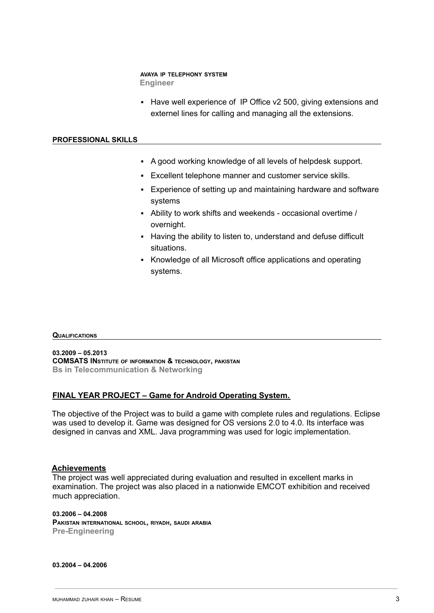# **AVAYA IP TELEPHONY SYSTEM**

**Engineer**

**EXECT:** Have well experience of IP Office v2 500, giving extensions and externel lines for calling and managing all the extensions.

### **PROFESSIONAL SKILLS**

- A good working knowledge of all levels of helpdesk support.
- Excellent telephone manner and customer service skills.
- **Experience of setting up and maintaining hardware and software** systems
- Ability to work shifts and weekends occasional overtime / overnight.
- Having the ability to listen to, understand and defuse difficult situations.
- **EXEDENGE INCO ADDE IS A** Knowledge of all Microsoft office applications and operating systems.

### **QUALIFICATIONS**

**03.2009 – 05.2013 COMSATS INSTITUTE OF INFORMATION & TECHNOLOGY, PAKISTAN Bs in Telecommunication & Networking**

# **FINAL YEAR PROJECT – Game for Android Operating System.**

The objective of the Project was to build a game with complete rules and regulations. Eclipse was used to develop it. Game was designed for OS versions 2.0 to 4.0. Its interface was designed in canvas and XML. Java programming was used for logic implementation.

# **Achievements**

The project was well appreciated during evaluation and resulted in excellent marks in examination. The project was also placed in a nationwide EMCOT exhibition and received much appreciation.

**03.2006 – 04.2008 PAKISTAN INTERNATIONAL SCHOOL, RIYADH, SAUDI ARABIA Pre-Engineering**

**03.2004 – 04.2006**